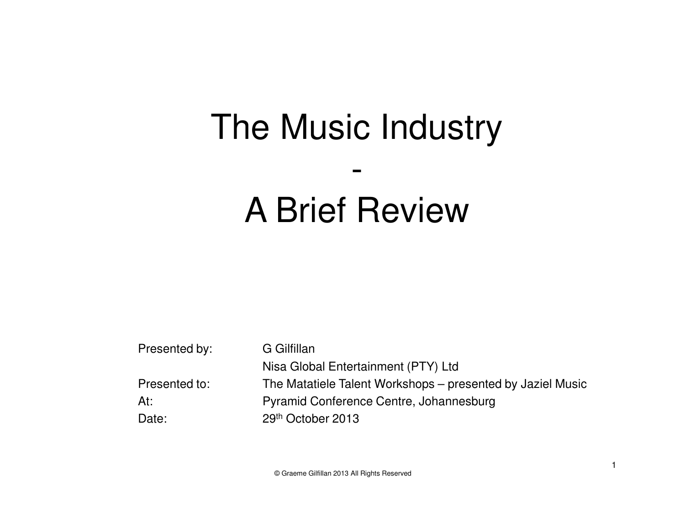#### The Music Industry

#### A Brief Review

-

| Presented by: | G Gilfillan                                                |
|---------------|------------------------------------------------------------|
|               | Nisa Global Entertainment (PTY) Ltd                        |
| Presented to: | The Matatiele Talent Workshops – presented by Jaziel Music |
| At:           | Pyramid Conference Centre, Johannesburg                    |
| Date:         | 29th October 2013                                          |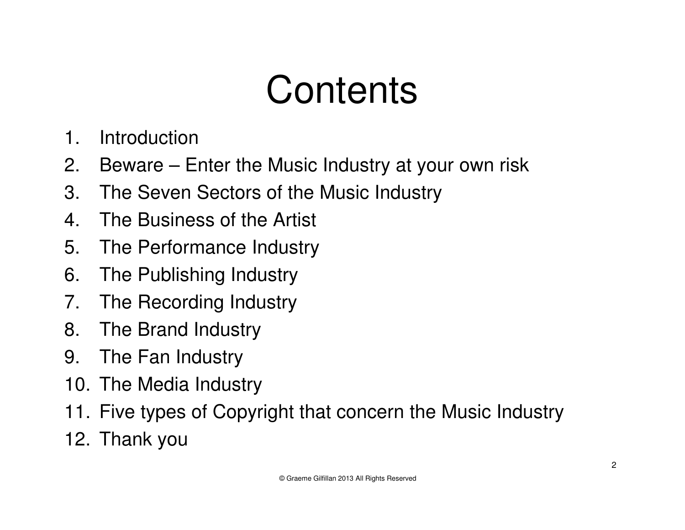#### **Contents**

- 1. Introduction
- 2. Beware Enter the Music Industry at your own risk
- 3. The Seven Sectors of the Music Industry
- 4. The Business of the Artist
- 5. The Performance Industry
- 6. The Publishing Industry
- 7. The Recording Industry
- 8. The Brand Industry
- 9. The Fan Industry
- 10. The Media Industry
- 11. Five types of Copyright that concern the Music Industry
- 12. Thank you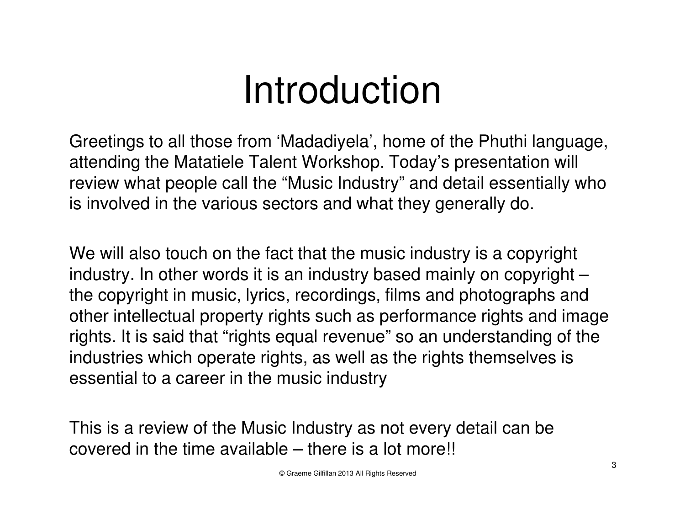#### Introduction

Greetings to all those from 'Madadiyela', home of the Phuthi language, attending the Matatiele Talent Workshop. Today's presentation will review what people call the "Music Industry" and detail essentially who is involved in the various sectors and what they generally do.

We will also touch on the fact that the music industry is a copyright industry. In other words it is an industry based mainly on copyright – the copyright in music, lyrics, recordings, films and photographs and other intellectual property rights such as performance rights and image rights. It is said that "rights equal revenue" so an understanding of the industries which operate rights, as well as the rights themselves is essential to a career in the music industry

This is a review of the Music Industry as not every detail can be covered in the time available – there is a lot more!!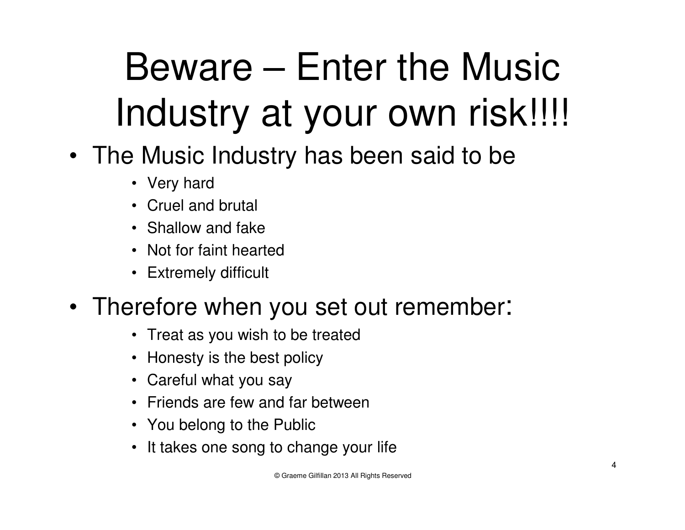# Beware – Enter the Music Industry at your own risk!!!!

- The Music Industry has been said to be
	- Very hard
	- Cruel and brutal
	- Shallow and fake
	- Not for faint hearted
	- Extremely difficult

#### • Therefore when you set out remember:

- Treat as you wish to be treated
- Honesty is the best policy
- Careful what you say
- Friends are few and far between
- You belong to the Public
- It takes one song to change your life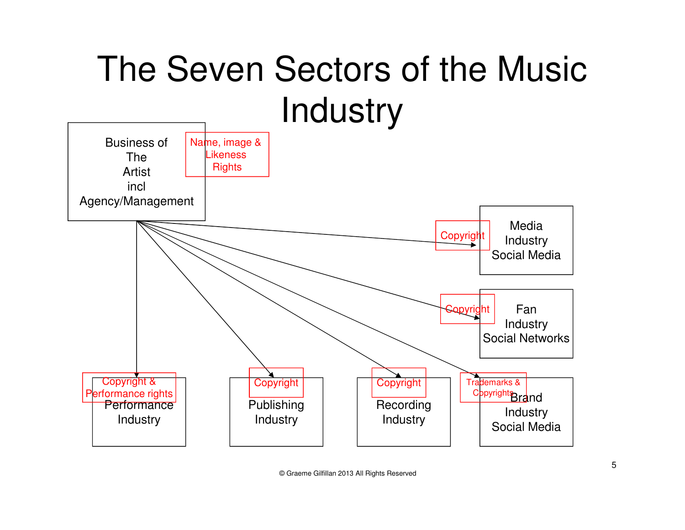#### The Seven Sectors of the Music **Industry**

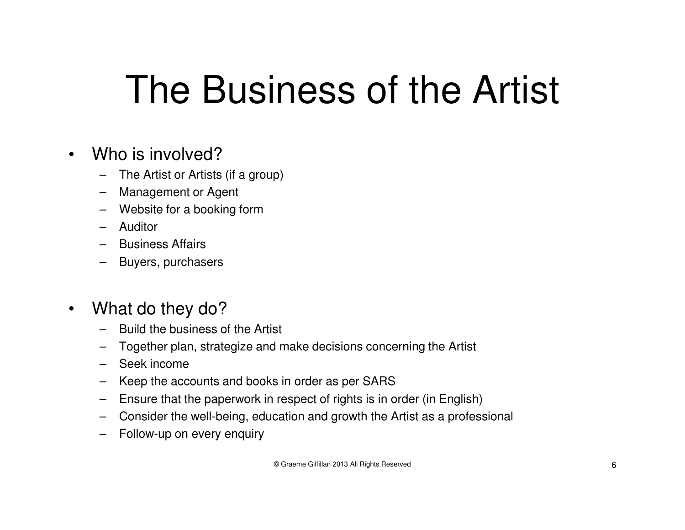### The Business of the Artist

- •Who is involved?
	- The Artist or Artists (if a group)–
	- Management or Agent
	- Website for a booking form
	- Auditor
	- Business Affairs
	- Buyers, purchasers
- $\bullet$  What do they do?
	- Build the business of the Artist
	- Together plan, strategize and make decisions concerning the Artist
	- Seek income
	- Keep the accounts and books in order as per SARS
	- Ensure that the paperwork in respect of rights is in order (in English)
	- Consider the well-being, education and growth the Artist as a professional
	- Follow-up on every enquiry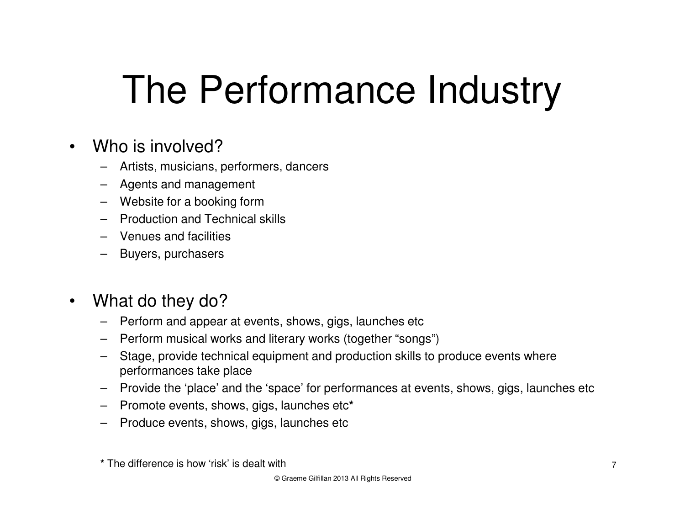## The Performance Industry

- •Who is involved?
	- Artists, musicians, performers, dancers
	- Agents and management
	- Website for a booking form
	- Production and Technical skills
	- Venues and facilities
	- Buyers, purchasers
- • What do they do?
	- Perform and appear at events, shows, gigs, launches etc
	- Perform musical works and literary works (together "songs")
	- Stage, provide technical equipment and production skills to produce events where performances take place
	- Provide the 'place' and the 'space' for performances at events, shows, gigs, launches etc
	- Promote events, shows, gigs, launches etc**\***
	- Produce events, shows, gigs, launches etc

**<sup>\*</sup>** The difference is how 'risk' is dealt with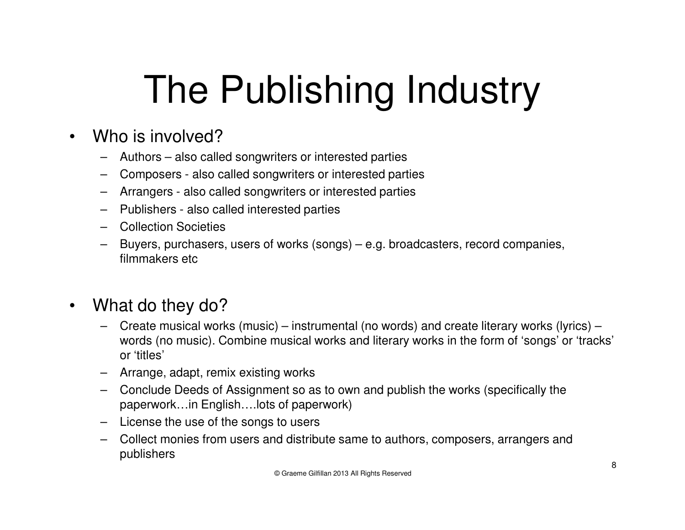# The Publishing Industry

- •Who is involved?
	- Authors also called songwriters or interested parties
	- Composers also called songwriters or interested parties
	- Arrangers also called songwriters or interested parties
	- Publishers also called interested parties
	- Collection Societies
	- Buyers, purchasers, users of works (songs) e.g. broadcasters, record companies, filmmakers etc
- • What do they do?
	- Create musical works (music) instrumental (no words) and create literary works (lyrics) – words (no music). Combine musical works and literary works in the form of 'songs' or 'tracks' or 'titles'
	- Arrange, adapt, remix existing works
	- Conclude Deeds of Assignment so as to own and publish the works (specifically the paperwork…in English….lots of paperwork)
	- License the use of the songs to users
	- Collect monies from users and distribute same to authors, composers, arrangers and publishers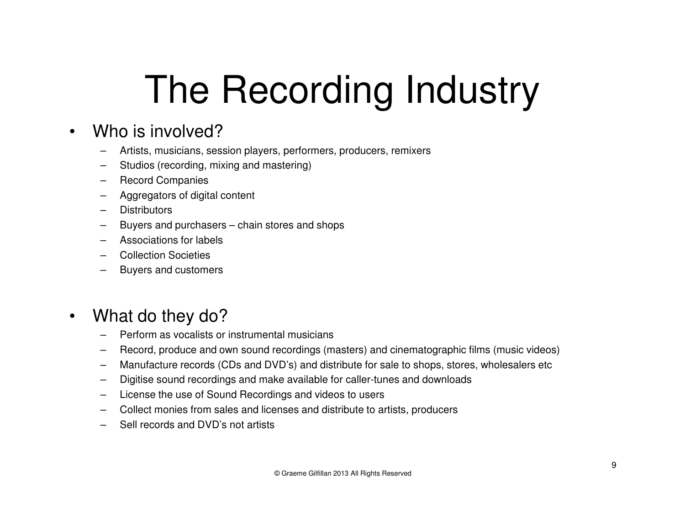# The Recording Industry

#### •Who is involved?

- Artists, musicians, session players, performers, producers, remixers
- Studios (recording, mixing and mastering)
- Record Companies
- Aggregators of digital content
- **Distributors**
- Buyers and purchasers chain stores and shops
- –Associations for labels
- –Collection Societies
- –Buyers and customers

#### •What do they do?

- Perform as vocalists or instrumental musicians
- Record, produce and own sound recordings (masters) and cinematographic films (music videos)
- –Manufacture records (CDs and DVD's) and distribute for sale to shops, stores, wholesalers etc
- –Digitise sound recordings and make available for caller-tunes and downloads
- License the use of Sound Recordings and videos to users
- –Collect monies from sales and licenses and distribute to artists, producers
- –Sell records and DVD's not artists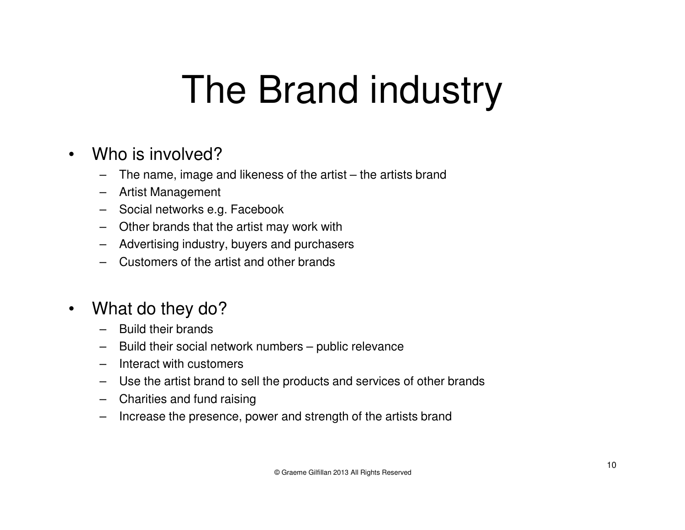### The Brand industry

- •Who is involved?
	- The name, image and likeness of the artist the artists brand–
	- Artist Management
	- Social networks e.g. Facebook
	- Other brands that the artist may work with
	- Advertising industry, buyers and purchasers
	- Customers of the artist and other brands
- $\bullet$  What do they do?
	- –Build their brands
	- Build their social network numbers public relevance
	- Interact with customers
	- Use the artist brand to sell the products and services of other brands
	- Charities and fund raising
	- Increase the presence, power and strength of the artists brand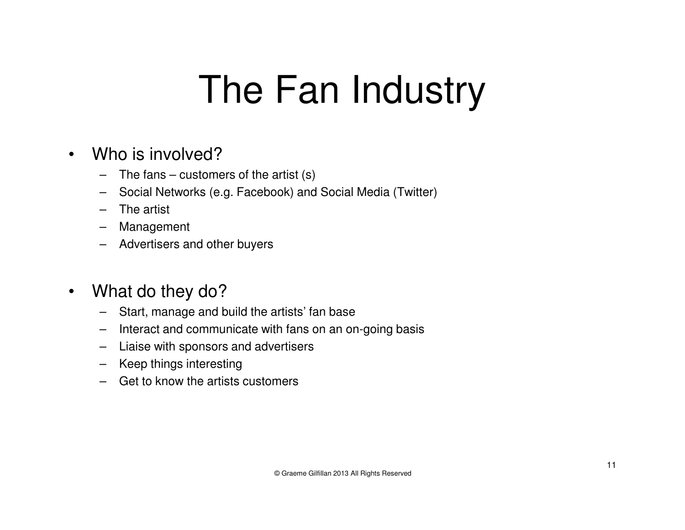### The Fan Industry

- • Who is involved?
	- The fans customers of the artist (s)
	- Social Networks (e.g. Facebook) and Social Media (Twitter)
	- The artist
	- Management
	- Advertisers and other buyers
- $\bullet$  What do they do?
	- Start, manage and build the artists' fan base
	- Interact and communicate with fans on an on-going basis
	- Liaise with sponsors and advertisers
	- Keep things interesting
	- Get to know the artists customers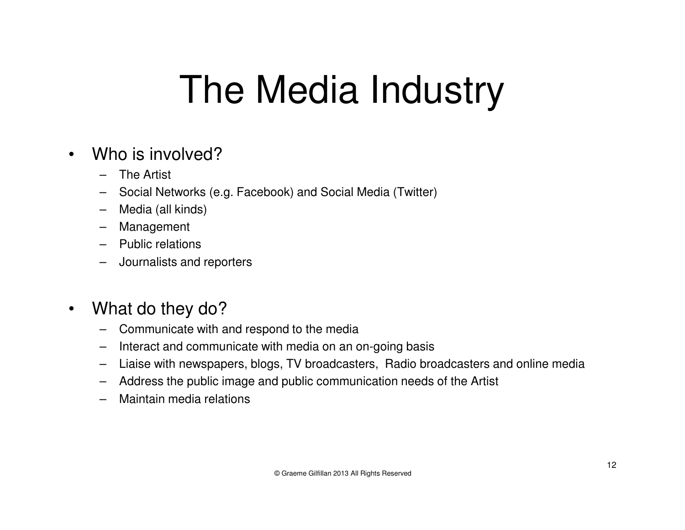### The Media Industry

- •Who is involved?
	- The Artist
	- Social Networks (e.g. Facebook) and Social Media (Twitter)
	- –Media (all kinds)
	- Management
	- Public relations
	- Journalists and reporters
- $\bullet$  What do they do?
	- Communicate with and respond to the media
	- Interact and communicate with media on an on-going basis
	- Liaise with newspapers, blogs, TV broadcasters, Radio broadcasters and online media
	- Address the public image and public communication needs of the Artist
	- Maintain media relations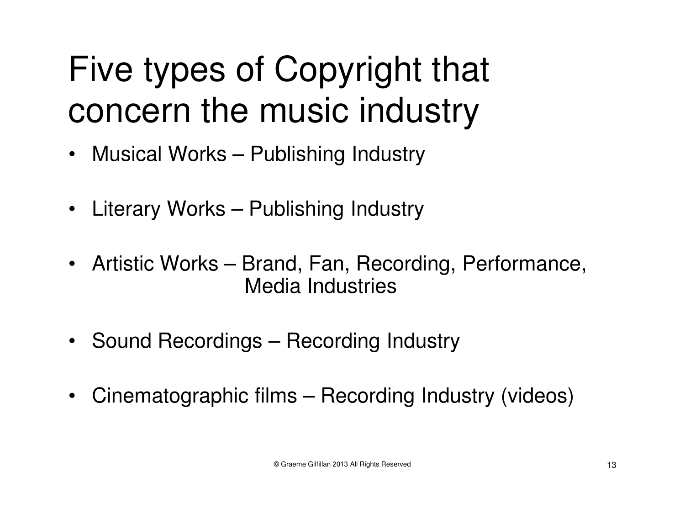#### Five types of Copyright that concern the music industry

- Musical Works Publishing Industry
- Literary Works Publishing Industry
- Artistic Works Brand, Fan, Recording, Performance, Media Industries
- Sound Recordings Recording Industry
- $\bullet$ Cinematographic films – Recording Industry (videos)